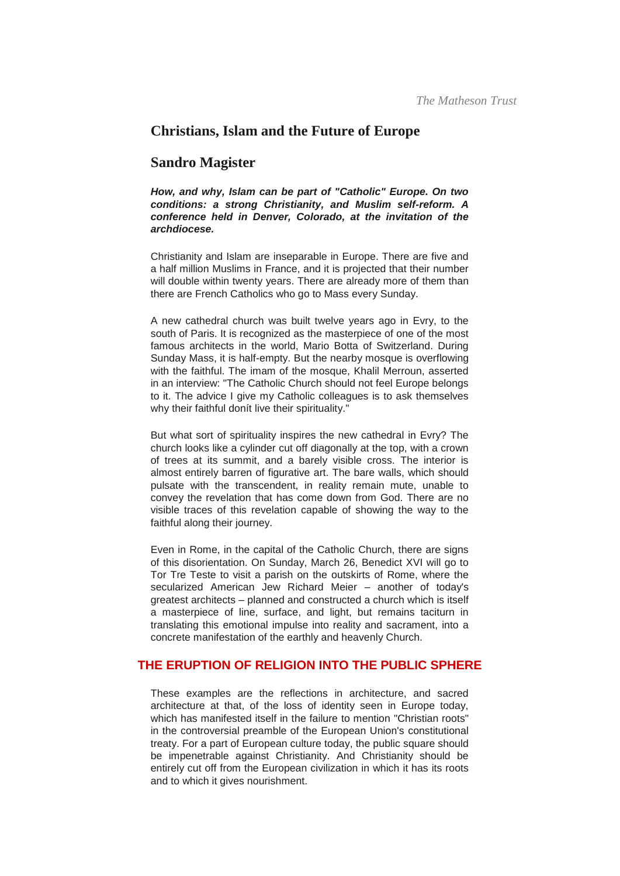# **Christians, Islam and the Future of Europe**

## **Sandro Magister**

*How, and why, Islam can be part of "Catholic" Europe. On two conditions: a strong Christianity, and Muslim self-reform. A conference held in Denver, Colorado, at the invitation of the archdiocese.*

Christianity and Islam are inseparable in Europe. There are five and a half million Muslims in France, and it is projected that their number will double within twenty years. There are already more of them than there are French Catholics who go to Mass every Sunday.

A new cathedral church was built twelve years ago in Evry, to the south of Paris. It is recognized as the masterpiece of one of the most famous architects in the world, Mario Botta of Switzerland. During Sunday Mass, it is half-empty. But the nearby mosque is overflowing with the faithful. The imam of the mosque, Khalil Merroun, asserted in an interview: "The Catholic Church should not feel Europe belongs to it. The advice I give my Catholic colleagues is to ask themselves why their faithful donít live their spirituality."

But what sort of spirituality inspires the new cathedral in Evry? The church looks like a cylinder cut off diagonally at the top, with a crown of trees at its summit, and a barely visible cross. The interior is almost entirely barren of figurative art. The bare walls, which should pulsate with the transcendent, in reality remain mute, unable to convey the revelation that has come down from God. There are no visible traces of this revelation capable of showing the way to the faithful along their journey.

Even in Rome, in the capital of the Catholic Church, there are signs of this disorientation. On Sunday, March 26, Benedict XVI will go to Tor Tre Teste to visit a parish on the outskirts of Rome, where the secularized American Jew Richard Meier – another of today's greatest architects – planned and constructed a church which is itself a masterpiece of line, surface, and light, but remains taciturn in translating this emotional impulse into reality and sacrament, into a concrete manifestation of the earthly and heavenly Church.

## **THE ERUPTION OF RELIGION INTO THE PUBLIC SPHERE**

These examples are the reflections in architecture, and sacred architecture at that, of the loss of identity seen in Europe today, which has manifested itself in the failure to mention "Christian roots" in the controversial preamble of the European Union's constitutional treaty. For a part of European culture today, the public square should be impenetrable against Christianity. And Christianity should be entirely cut off from the European civilization in which it has its roots and to which it gives nourishment.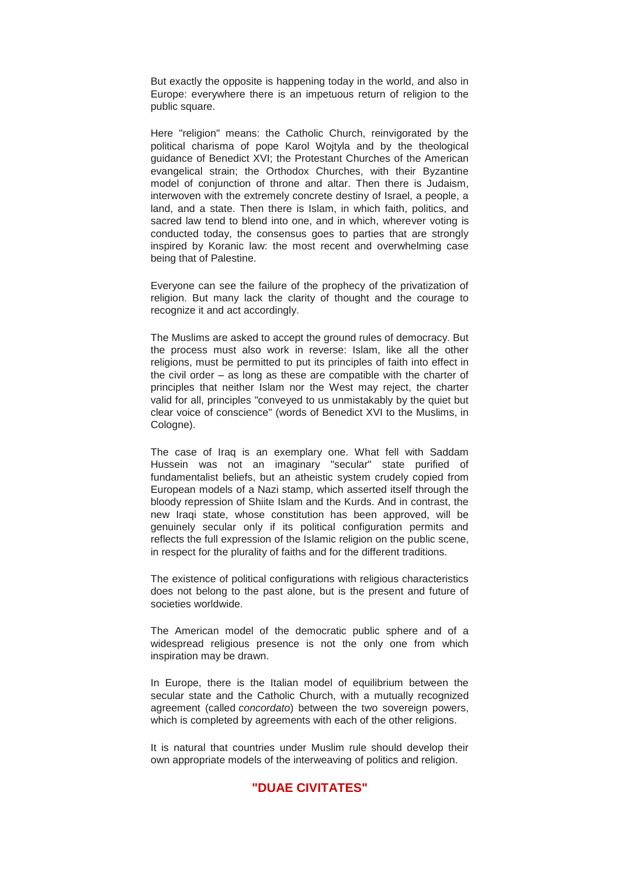But exactly the opposite is happening today in the world, and also in Europe: everywhere there is an impetuous return of religion to the public square.

Here "religion" means: the Catholic Church, reinvigorated by the political charisma of pope Karol Wojtyla and by the theological guidance of Benedict XVI; the Protestant Churches of the American evangelical strain; the Orthodox Churches, with their Byzantine model of conjunction of throne and altar. Then there is Judaism, interwoven with the extremely concrete destiny of Israel, a people, a land, and a state. Then there is Islam, in which faith, politics, and sacred law tend to blend into one, and in which, wherever voting is conducted today, the consensus goes to parties that are strongly inspired by Koranic law: the most recent and overwhelming case being that of Palestine.

Everyone can see the failure of the prophecy of the privatization of religion. But many lack the clarity of thought and the courage to recognize it and act accordingly.

The Muslims are asked to accept the ground rules of democracy. But the process must also work in reverse: Islam, like all the other religions, must be permitted to put its principles of faith into effect in the civil order – as long as these are compatible with the charter of principles that neither Islam nor the West may reject, the charter valid for all, principles "conveyed to us unmistakably by the quiet but clear voice of conscience" (words of Benedict XVI to the Muslims, in Cologne).

The case of Iraq is an exemplary one. What fell with Saddam Hussein was not an imaginary "secular" state purified of fundamentalist beliefs, but an atheistic system crudely copied from European models of a Nazi stamp, which asserted itself through the bloody repression of Shiite Islam and the Kurds. And in contrast, the new Iraqi state, whose constitution has been approved, will be genuinely secular only if its political configuration permits and reflects the full expression of the Islamic religion on the public scene, in respect for the plurality of faiths and for the different traditions.

The existence of political configurations with religious characteristics does not belong to the past alone, but is the present and future of societies worldwide.

The American model of the democratic public sphere and of a widespread religious presence is not the only one from which inspiration may be drawn.

In Europe, there is the Italian model of equilibrium between the secular state and the Catholic Church, with a mutually recognized agreement (called *concordato*) between the two sovereign powers, which is completed by agreements with each of the other religions.

It is natural that countries under Muslim rule should develop their own appropriate models of the interweaving of politics and religion.

#### **"DUAE CIVITATES"**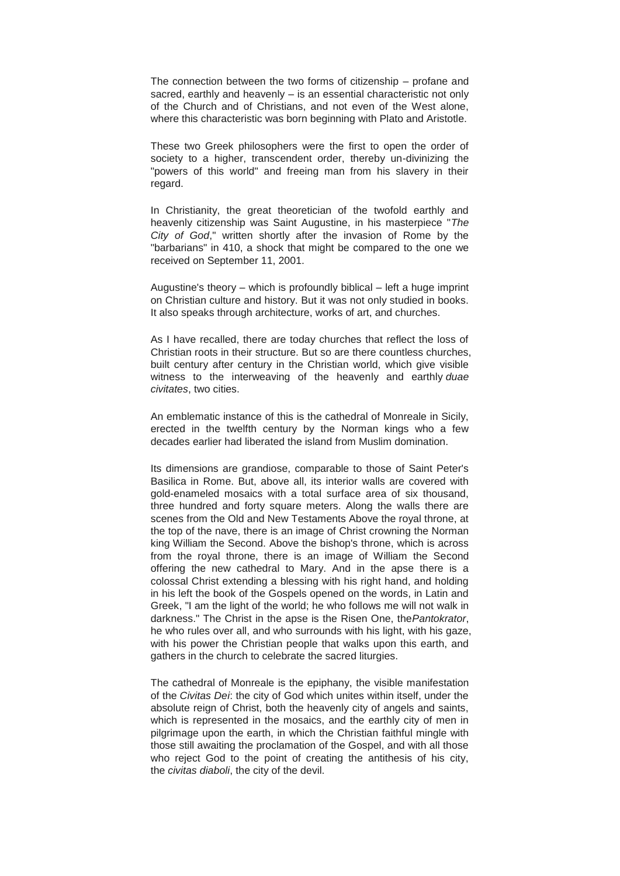The connection between the two forms of citizenship – profane and sacred, earthly and heavenly – is an essential characteristic not only of the Church and of Christians, and not even of the West alone, where this characteristic was born beginning with Plato and Aristotle.

These two Greek philosophers were the first to open the order of society to a higher, transcendent order, thereby un-divinizing the "powers of this world" and freeing man from his slavery in their regard.

In Christianity, the great theoretician of the twofold earthly and heavenly citizenship was Saint Augustine, in his masterpiece "*The City of God*," written shortly after the invasion of Rome by the "barbarians" in 410, a shock that might be compared to the one we received on September 11, 2001.

Augustine's theory – which is profoundly biblical – left a huge imprint on Christian culture and history. But it was not only studied in books. It also speaks through architecture, works of art, and churches.

As I have recalled, there are today churches that reflect the loss of Christian roots in their structure. But so are there countless churches, built century after century in the Christian world, which give visible witness to the interweaving of the heavenly and earthly *duae civitates*, two cities.

An emblematic instance of this is the cathedral of Monreale in Sicily, erected in the twelfth century by the Norman kings who a few decades earlier had liberated the island from Muslim domination.

Its dimensions are grandiose, comparable to those of Saint Peter's Basilica in Rome. But, above all, its interior walls are covered with gold-enameled mosaics with a total surface area of six thousand, three hundred and forty square meters. Along the walls there are scenes from the Old and New Testaments Above the royal throne, at the top of the nave, there is an image of Christ crowning the Norman king William the Second. Above the bishop's throne, which is across from the royal throne, there is an image of William the Second offering the new cathedral to Mary. And in the apse there is a colossal Christ extending a blessing with his right hand, and holding in his left the book of the Gospels opened on the words, in Latin and Greek, "I am the light of the world; he who follows me will not walk in darkness." The Christ in the apse is the Risen One, the*Pantokrator*, he who rules over all, and who surrounds with his light, with his gaze, with his power the Christian people that walks upon this earth, and gathers in the church to celebrate the sacred liturgies.

The cathedral of Monreale is the epiphany, the visible manifestation of the *Civitas Dei*: the city of God which unites within itself, under the absolute reign of Christ, both the heavenly city of angels and saints, which is represented in the mosaics, and the earthly city of men in pilgrimage upon the earth, in which the Christian faithful mingle with those still awaiting the proclamation of the Gospel, and with all those who reject God to the point of creating the antithesis of his city, the *civitas diaboli*, the city of the devil.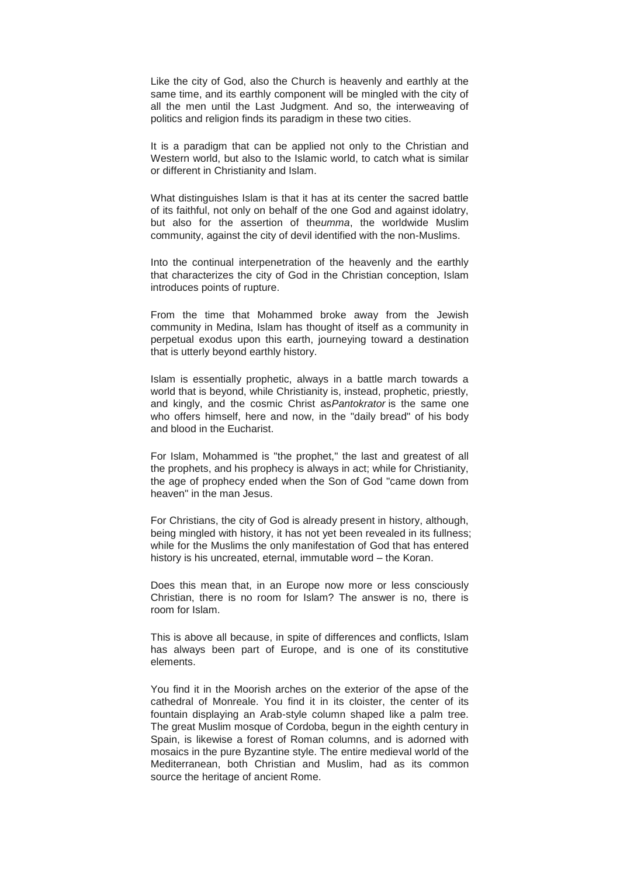Like the city of God, also the Church is heavenly and earthly at the same time, and its earthly component will be mingled with the city of all the men until the Last Judgment. And so, the interweaving of politics and religion finds its paradigm in these two cities.

It is a paradigm that can be applied not only to the Christian and Western world, but also to the Islamic world, to catch what is similar or different in Christianity and Islam.

What distinguishes Islam is that it has at its center the sacred battle of its faithful, not only on behalf of the one God and against idolatry, but also for the assertion of the*umma*, the worldwide Muslim community, against the city of devil identified with the non-Muslims.

Into the continual interpenetration of the heavenly and the earthly that characterizes the city of God in the Christian conception, Islam introduces points of rupture.

From the time that Mohammed broke away from the Jewish community in Medina, Islam has thought of itself as a community in perpetual exodus upon this earth, journeying toward a destination that is utterly beyond earthly history.

Islam is essentially prophetic, always in a battle march towards a world that is beyond, while Christianity is, instead, prophetic, priestly, and kingly, and the cosmic Christ as*Pantokrator* is the same one who offers himself, here and now, in the "daily bread" of his body and blood in the Eucharist.

For Islam, Mohammed is "the prophet," the last and greatest of all the prophets, and his prophecy is always in act; while for Christianity, the age of prophecy ended when the Son of God "came down from heaven" in the man Jesus.

For Christians, the city of God is already present in history, although, being mingled with history, it has not yet been revealed in its fullness; while for the Muslims the only manifestation of God that has entered history is his uncreated, eternal, immutable word – the Koran.

Does this mean that, in an Europe now more or less consciously Christian, there is no room for Islam? The answer is no, there is room for Islam.

This is above all because, in spite of differences and conflicts, Islam has always been part of Europe, and is one of its constitutive elements.

You find it in the Moorish arches on the exterior of the apse of the cathedral of Monreale. You find it in its cloister, the center of its fountain displaying an Arab-style column shaped like a palm tree. The great Muslim mosque of Cordoba, begun in the eighth century in Spain, is likewise a forest of Roman columns, and is adorned with mosaics in the pure Byzantine style. The entire medieval world of the Mediterranean, both Christian and Muslim, had as its common source the heritage of ancient Rome.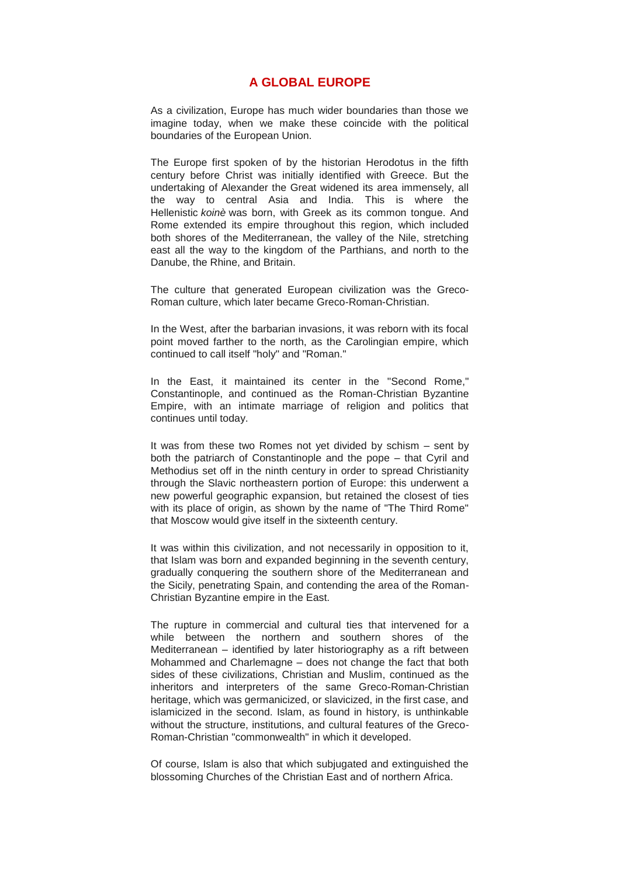### **A GLOBAL EUROPE**

As a civilization, Europe has much wider boundaries than those we imagine today, when we make these coincide with the political boundaries of the European Union.

The Europe first spoken of by the historian Herodotus in the fifth century before Christ was initially identified with Greece. But the undertaking of Alexander the Great widened its area immensely, all the way to central Asia and India. This is where the Hellenistic *koinè* was born, with Greek as its common tongue. And Rome extended its empire throughout this region, which included both shores of the Mediterranean, the valley of the Nile, stretching east all the way to the kingdom of the Parthians, and north to the Danube, the Rhine, and Britain.

The culture that generated European civilization was the Greco-Roman culture, which later became Greco-Roman-Christian.

In the West, after the barbarian invasions, it was reborn with its focal point moved farther to the north, as the Carolingian empire, which continued to call itself "holy" and "Roman."

In the East, it maintained its center in the "Second Rome," Constantinople, and continued as the Roman-Christian Byzantine Empire, with an intimate marriage of religion and politics that continues until today.

It was from these two Romes not yet divided by schism – sent by both the patriarch of Constantinople and the pope – that Cyril and Methodius set off in the ninth century in order to spread Christianity through the Slavic northeastern portion of Europe: this underwent a new powerful geographic expansion, but retained the closest of ties with its place of origin, as shown by the name of "The Third Rome" that Moscow would give itself in the sixteenth century.

It was within this civilization, and not necessarily in opposition to it, that Islam was born and expanded beginning in the seventh century, gradually conquering the southern shore of the Mediterranean and the Sicily, penetrating Spain, and contending the area of the Roman-Christian Byzantine empire in the East.

The rupture in commercial and cultural ties that intervened for a while between the northern and southern shores of the Mediterranean – identified by later historiography as a rift between Mohammed and Charlemagne – does not change the fact that both sides of these civilizations, Christian and Muslim, continued as the inheritors and interpreters of the same Greco-Roman-Christian heritage, which was germanicized, or slavicized, in the first case, and islamicized in the second. Islam, as found in history, is unthinkable without the structure, institutions, and cultural features of the Greco-Roman-Christian "commonwealth" in which it developed.

Of course, Islam is also that which subjugated and extinguished the blossoming Churches of the Christian East and of northern Africa.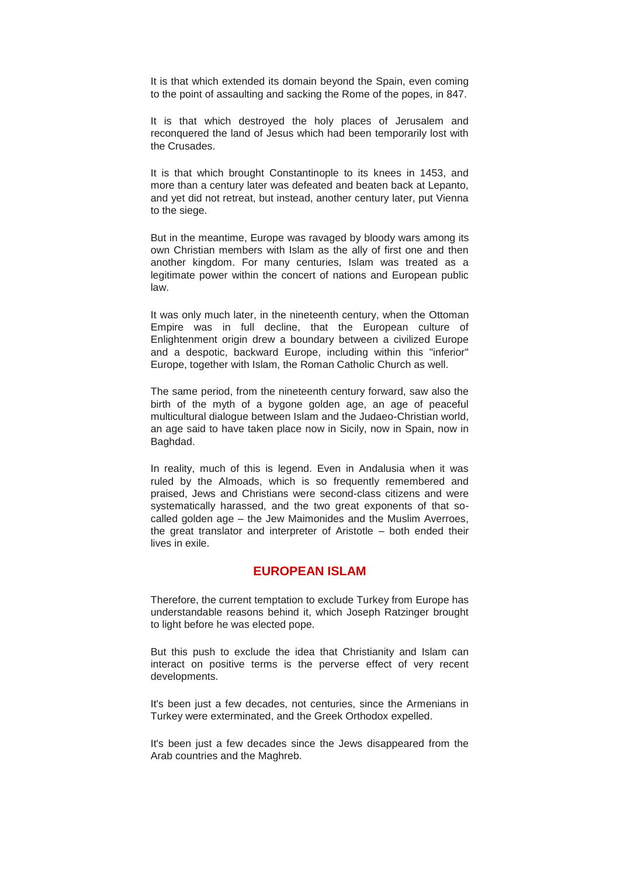It is that which extended its domain beyond the Spain, even coming to the point of assaulting and sacking the Rome of the popes, in 847.

It is that which destroyed the holy places of Jerusalem and reconquered the land of Jesus which had been temporarily lost with the Crusades.

It is that which brought Constantinople to its knees in 1453, and more than a century later was defeated and beaten back at Lepanto, and yet did not retreat, but instead, another century later, put Vienna to the siege.

But in the meantime, Europe was ravaged by bloody wars among its own Christian members with Islam as the ally of first one and then another kingdom. For many centuries, Islam was treated as a legitimate power within the concert of nations and European public law.

It was only much later, in the nineteenth century, when the Ottoman Empire was in full decline, that the European culture of Enlightenment origin drew a boundary between a civilized Europe and a despotic, backward Europe, including within this "inferior" Europe, together with Islam, the Roman Catholic Church as well.

The same period, from the nineteenth century forward, saw also the birth of the myth of a bygone golden age, an age of peaceful multicultural dialogue between Islam and the Judaeo-Christian world, an age said to have taken place now in Sicily, now in Spain, now in Baghdad.

In reality, much of this is legend. Even in Andalusia when it was ruled by the Almoads, which is so frequently remembered and praised, Jews and Christians were second-class citizens and were systematically harassed, and the two great exponents of that socalled golden age – the Jew Maimonides and the Muslim Averroes, the great translator and interpreter of Aristotle – both ended their lives in exile.

#### **EUROPEAN ISLAM**

Therefore, the current temptation to exclude Turkey from Europe has understandable reasons behind it, which Joseph Ratzinger brought to light before he was elected pope.

But this push to exclude the idea that Christianity and Islam can interact on positive terms is the perverse effect of very recent developments.

It's been just a few decades, not centuries, since the Armenians in Turkey were exterminated, and the Greek Orthodox expelled.

It's been just a few decades since the Jews disappeared from the Arab countries and the Maghreb.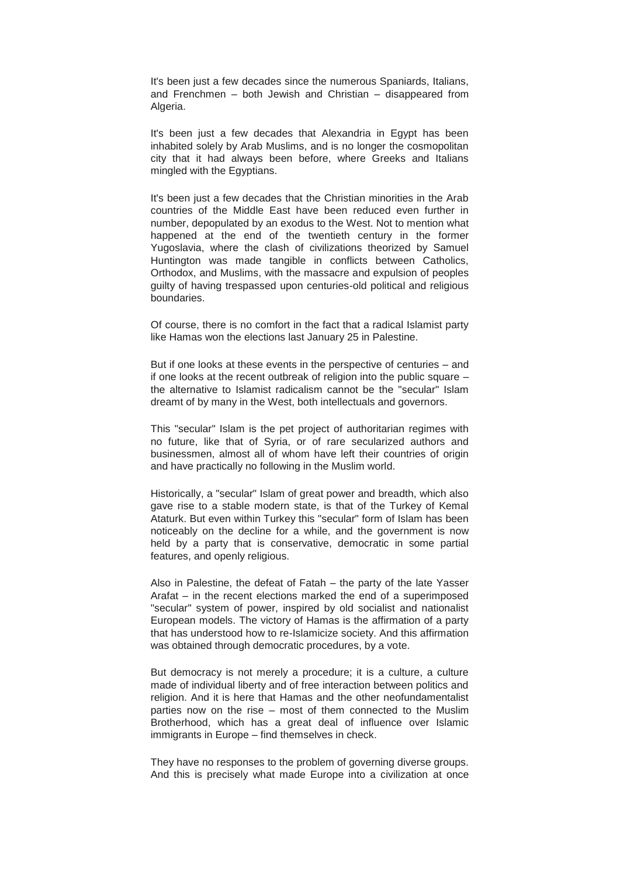It's been just a few decades since the numerous Spaniards, Italians, and Frenchmen – both Jewish and Christian – disappeared from Algeria.

It's been just a few decades that Alexandria in Egypt has been inhabited solely by Arab Muslims, and is no longer the cosmopolitan city that it had always been before, where Greeks and Italians mingled with the Egyptians.

It's been just a few decades that the Christian minorities in the Arab countries of the Middle East have been reduced even further in number, depopulated by an exodus to the West. Not to mention what happened at the end of the twentieth century in the former Yugoslavia, where the clash of civilizations theorized by Samuel Huntington was made tangible in conflicts between Catholics, Orthodox, and Muslims, with the massacre and expulsion of peoples guilty of having trespassed upon centuries-old political and religious boundaries.

Of course, there is no comfort in the fact that a radical Islamist party like Hamas won the elections last January 25 in Palestine.

But if one looks at these events in the perspective of centuries – and if one looks at the recent outbreak of religion into the public square – the alternative to Islamist radicalism cannot be the "secular" Islam dreamt of by many in the West, both intellectuals and governors.

This "secular" Islam is the pet project of authoritarian regimes with no future, like that of Syria, or of rare secularized authors and businessmen, almost all of whom have left their countries of origin and have practically no following in the Muslim world.

Historically, a "secular" Islam of great power and breadth, which also gave rise to a stable modern state, is that of the Turkey of Kemal Ataturk. But even within Turkey this "secular" form of Islam has been noticeably on the decline for a while, and the government is now held by a party that is conservative, democratic in some partial features, and openly religious.

Also in Palestine, the defeat of Fatah – the party of the late Yasser Arafat – in the recent elections marked the end of a superimposed "secular" system of power, inspired by old socialist and nationalist European models. The victory of Hamas is the affirmation of a party that has understood how to re-Islamicize society. And this affirmation was obtained through democratic procedures, by a vote.

But democracy is not merely a procedure; it is a culture, a culture made of individual liberty and of free interaction between politics and religion. And it is here that Hamas and the other neofundamentalist parties now on the rise – most of them connected to the Muslim Brotherhood, which has a great deal of influence over Islamic immigrants in Europe – find themselves in check.

They have no responses to the problem of governing diverse groups. And this is precisely what made Europe into a civilization at once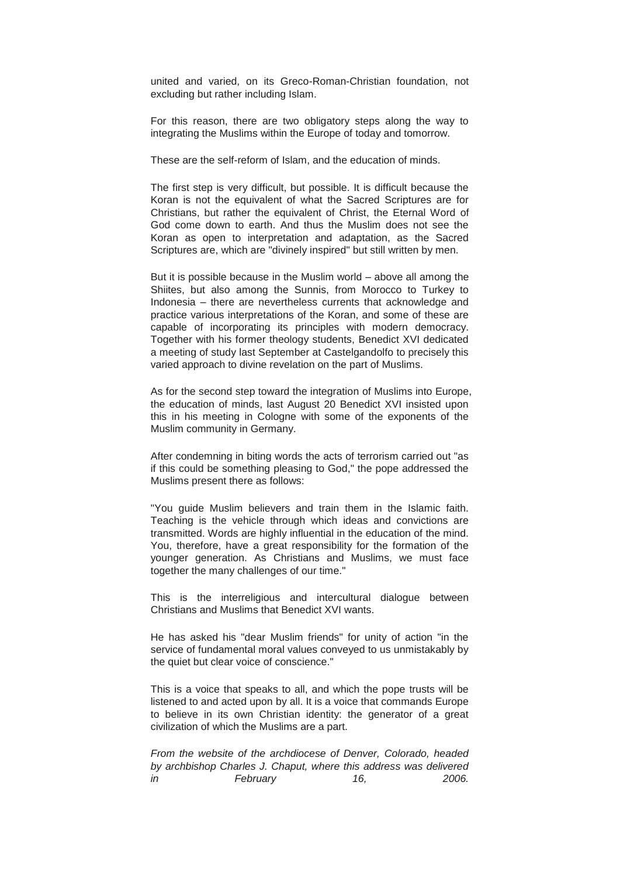united and varied, on its Greco-Roman-Christian foundation, not excluding but rather including Islam.

For this reason, there are two obligatory steps along the way to integrating the Muslims within the Europe of today and tomorrow.

These are the self-reform of Islam, and the education of minds.

The first step is very difficult, but possible. It is difficult because the Koran is not the equivalent of what the Sacred Scriptures are for Christians, but rather the equivalent of Christ, the Eternal Word of God come down to earth. And thus the Muslim does not see the Koran as open to interpretation and adaptation, as the Sacred Scriptures are, which are "divinely inspired" but still written by men.

But it is possible because in the Muslim world – above all among the Shiites, but also among the Sunnis, from Morocco to Turkey to Indonesia – there are nevertheless currents that acknowledge and practice various interpretations of the Koran, and some of these are capable of incorporating its principles with modern democracy. Together with his former theology students, Benedict XVI dedicated a meeting of study last September at Castelgandolfo to precisely this varied approach to divine revelation on the part of Muslims.

As for the second step toward the integration of Muslims into Europe, the education of minds, last August 20 Benedict XVI insisted upon this in his meeting in Cologne with some of the exponents of the Muslim community in Germany.

After condemning in biting words the acts of terrorism carried out "as if this could be something pleasing to God," the pope addressed the Muslims present there as follows:

"You guide Muslim believers and train them in the Islamic faith. Teaching is the vehicle through which ideas and convictions are transmitted. Words are highly influential in the education of the mind. You, therefore, have a great responsibility for the formation of the younger generation. As Christians and Muslims, we must face together the many challenges of our time."

This is the interreligious and intercultural dialogue between Christians and Muslims that Benedict XVI wants.

He has asked his "dear Muslim friends" for unity of action "in the service of fundamental moral values conveyed to us unmistakably by the quiet but clear voice of conscience."

This is a voice that speaks to all, and which the pope trusts will be listened to and acted upon by all. It is a voice that commands Europe to believe in its own Christian identity: the generator of a great civilization of which the Muslims are a part.

*From the website of the archdiocese of Denver, Colorado, headed by archbishop Charles J. Chaput, where this address was delivered in February 16, 2006.*